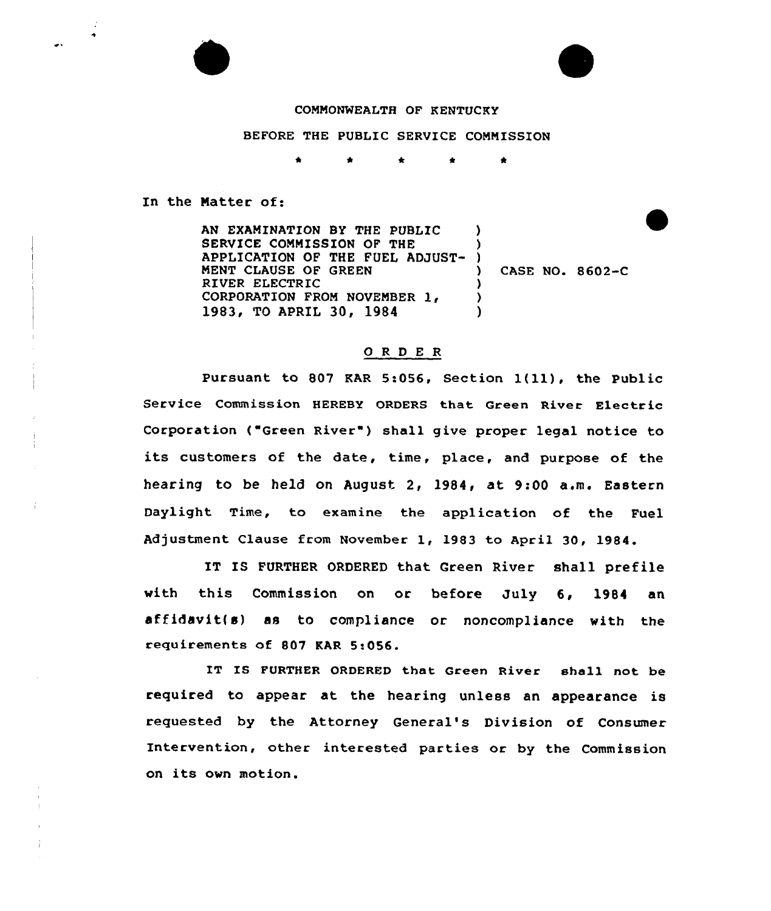## CONNOWNEALTH OF KENTUCKY

## BEFORE THE PUBLIC SERVICE COMMISSION

\* \*

In the Natter of:

AN EXAMINATION BY THE PUBLIC SERVICE COMMISSION OF THE APPLICATION OF THE FUEL ADJUST-KENT CLAUSE OF GREEN RIVER ELECTRIC CORPORATION FROM NOVEMBER 1, 1983, TO APRIL 30, 1984  $\lambda$ )  $\left\{ \right\}$ ) CASE NO. 8602-C ) ) )

## ORDER

Pursuant to 807 KAR 5:056, Section  $1(11)$ , the Public Service Commission HEREBY ORDERS that Green River Electric Corporation ("Green River") shall give proper legal notice to its customers of the date, time, place, and purpose of the hearing to be held on August 2, 1984, at 9:00 a.m. Eastern Daylight Time, to examine the application of the Fuel Adjustment Clause from November 1, 1983 to April 30, 1984.

IT IS FURTHER ORDERED that Green River shall prefile with this Commission on or before July 6, 1984 an affidavit(s) as to compliance or noncompliance with the requirements of 807 KAR 5:056.

IT IS FURTHER ORDERED that Green River shall not be required to appear at the hearing unless an appearance is requested by the Attorney General's Division of Consumer Intervention, other interested parties or by the Commission on its own motion.